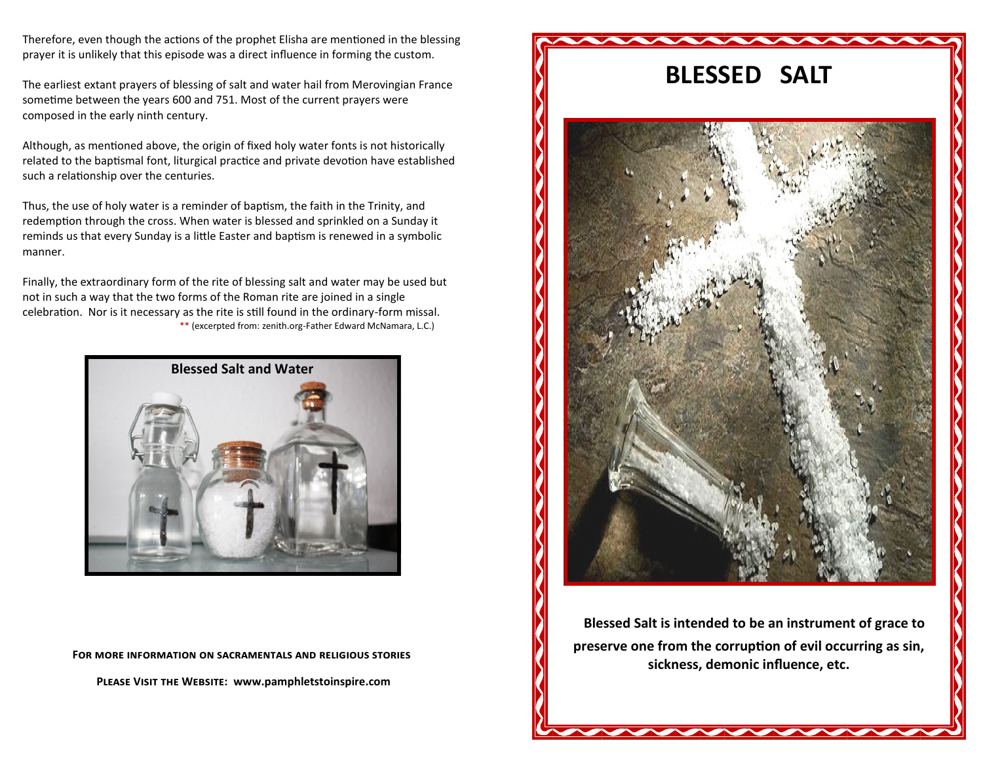Therefore, even though the actions of the prophet Elisha are mentioned in the blessing prayer it is unlikely that this episode was a direct influence in forming the custom.

The earliest extant prayers of blessing of salt and water hail from Merovingian France sometime between the years 600 and 751. Most of the current prayers were composed in the early ninth century.

Although, as mentioned above, the origin of fixed holy water fonts is not historically related to the baptismal font, liturgical practice and private devotion have established such a relationship over the centuries.

Thus, the use of holy water is a reminder of baptism, the faith in the Trinity, and redemption through the cross. When water is blessed and sprinkled on a Sunday it reminds us that every Sunday is a little Easter and baptism is renewed in a symbolic manner.

Finally, the extraordinary form of the rite of blessing salt and water may be used but not in such a way that the two forms of the Roman rite are joined in a single celebration. Nor is it necessary as the rite is still found in the ordinary-form missal. \*\* (excerpted from: zenith.org-Father Edward McNamara, L.C.)



**For more information on sacramentals and religious stories** 

**Please Visit the Website: www.pamphletstoinspire.com**



**Blessed Salt is intended to be an instrument of grace to preserve one from the corruption of evil occurring as sin, sickness, demonic influence, etc.**